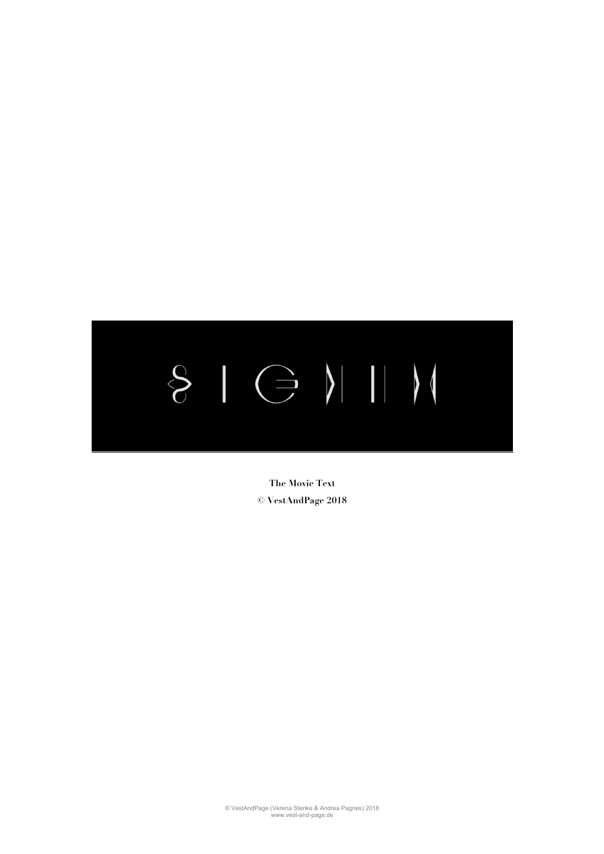

**The Movie Text © VestAndPage 2018**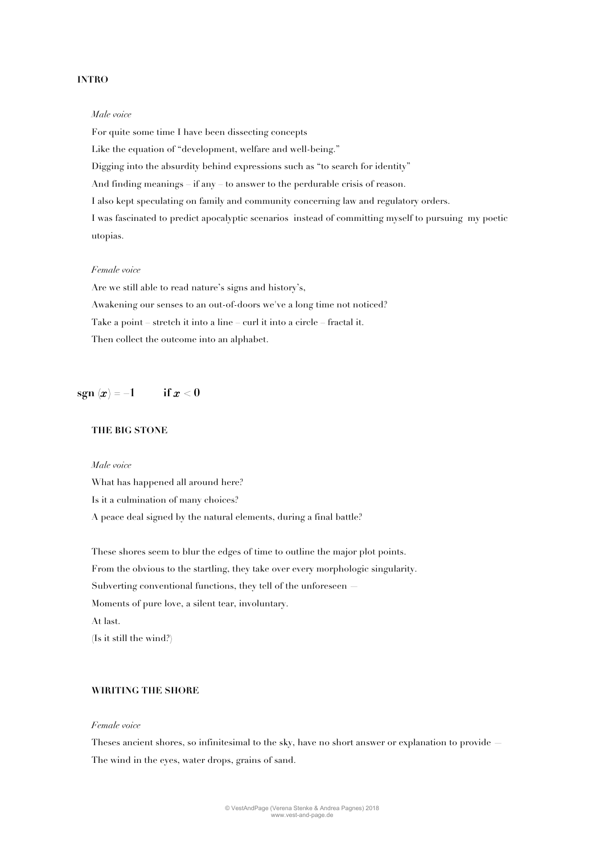## **INTRO**

#### *Male voice*

For quite some time I have been dissecting concepts Like the equation of "development, welfare and well-being." Digging into the absurdity behind expressions such as "to search for identity" And finding meanings – if any – to answer to the perdurable crisis of reason. I also kept speculating on family and community concerning law and regulatory orders. I was fascinated to predict apocalyptic scenarios instead of committing myself to pursuing my poetic utopias.

#### *Female voice*

Are we still able to read nature's signs and history's, Awakening our senses to an out-of-doors we've a long time not noticed? Take a point – stretch it into a line – curl it into a circle – fractal it. Then collect the outcome into an alphabet.

# **sgn**  $(x) = 1$  **if**  $x < 0$

# **THE BIG STONE**

### *Male voice*

What has happened all around here? Is it a culmination of many choices? A peace deal signed by the natural elements, during a final battle?

These shores seem to blur the edges of time to outline the major plot points. From the obvious to the startling, they take over every morphologic singularity. Subverting conventional functions, they tell of the unforeseen Moments of pure love, a silent tear, involuntary. At last.

# (Is it still the wind?)

## **WIRITING THE SHORE**

### *Female voice*

Theses ancient shores, so infinitesimal to the sky, have no short answer or explanation to provide — The wind in the eyes, water drops, grains of sand.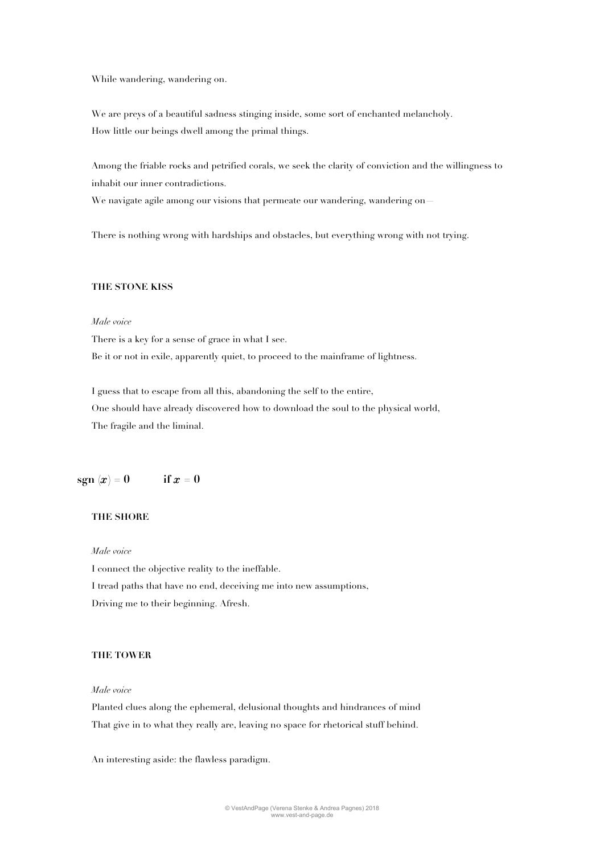While wandering, wandering on.

We are preys of a beautiful sadness stinging inside, some sort of enchanted melancholy. How little our beings dwell among the primal things.

Among the friable rocks and petrified corals, we seek the clarity of conviction and the willingness to inhabit our inner contradictions.

We navigate agile among our visions that permeate our wandering, wandering on—

There is nothing wrong with hardships and obstacles, but everything wrong with not trying.

### **THE STONE KISS**

### *Male voice*

There is a key for a sense of grace in what I see. Be it or not in exile, apparently quiet, to proceed to the mainframe of lightness.

I guess that to escape from all this, abandoning the self to the entire, One should have already discovered how to download the soul to the physical world, The fragile and the liminal.

# **sgn**  $(x) = 0$  **if**  $x = 0$

# **THE SHORE**

*Male voice*

I connect the objective reality to the ineffable. I tread paths that have no end, deceiving me into new assumptions, Driving me to their beginning. Afresh.

### **THE TOWER**

### *Male voice*

Planted clues along the ephemeral, delusional thoughts and hindrances of mind That give in to what they really are, leaving no space for rhetorical stuff behind.

An interesting aside: the flawless paradigm.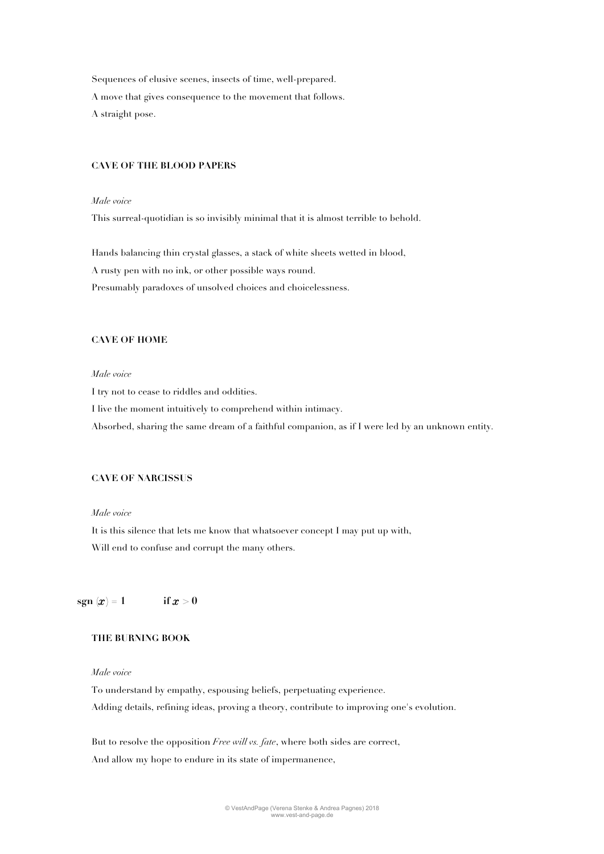Sequences of elusive scenes, insects of time, well-prepared. A move that gives consequence to the movement that follows. A straight pose.

### **CAVE OF THE BLOOD PAPERS**

### *Male voice*

This surreal-quotidian is so invisibly minimal that it is almost terrible to behold.

Hands balancing thin crystal glasses, a stack of white sheets wetted in blood,

A rusty pen with no ink, or other possible ways round.

Presumably paradoxes of unsolved choices and choicelessness.

# **CAVE OF HOME**

# *Male voice*

I try not to cease to riddles and oddities.

I live the moment intuitively to comprehend within intimacy.

Absorbed, sharing the same dream of a faithful companion, as if I were led by an unknown entity.

### **CAVE OF NARCISSUS**

### *Male voice*

It is this silence that lets me know that whatsoever concept I may put up with, Will end to confuse and corrupt the many others.

# **sgn**  $(x) = 1$  **if**  $x > 0$

## **THE BURNING BOOK**

### *Male voice*

To understand by empathy, espousing beliefs, perpetuating experience. Adding details, refining ideas, proving a theory, contribute to improving one's evolution.

But to resolve the opposition *Free will vs. fate*, where both sides are correct, And allow my hope to endure in its state of impermanence,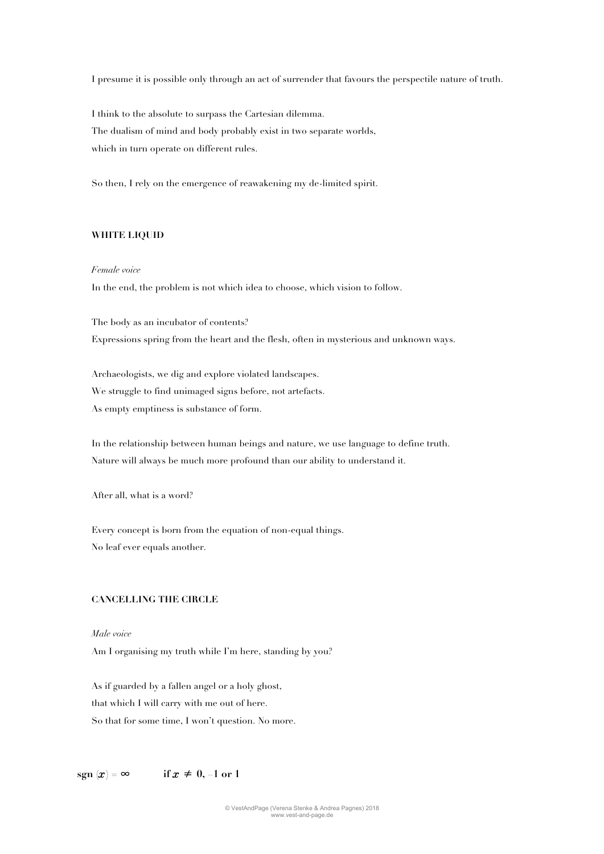I presume it is possible only through an act of surrender that favours the perspectile nature of truth.

I think to the absolute to surpass the Cartesian dilemma. The dualism of mind and body probably exist in two separate worlds, which in turn operate on different rules.

So then, I rely on the emergence of reawakening my de-limited spirit.

# **WHITE LIQUID**

#### *Female voice*

In the end, the problem is not which idea to choose, which vision to follow.

The body as an incubator of contents? Expressions spring from the heart and the flesh, often in mysterious and unknown ways.

Archaeologists, we dig and explore violated landscapes. We struggle to find unimaged signs before, not artefacts. As empty emptiness is substance of form.

In the relationship between human beings and nature, we use language to define truth. Nature will always be much more profound than our ability to understand it.

After all, what is a word?

Every concept is born from the equation of non-equal things. No leaf ever equals another.

## **CANCELLING THE CIRCLE**

#### *Male voice*

Am I organising my truth while I'm here, standing by you?

As if guarded by a fallen angel or a holy ghost, that which I will carry with me out of here. So that for some time, I won't question. No more.

 $\text{sgn}(x) = \infty$  **if**  $x \neq 0, 1 \text{ or } 1$